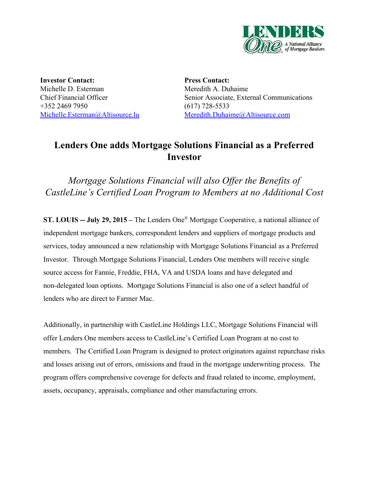

**Investor Contact:** Michelle D. Esterman Chief Financial Officer +352 2469 7950 [Michelle.Esterman@Altisource.lu](mailto:Michelle.Esterman@Altisource.lu)

**Press Contact:** Meredith A. Duhaime Senior Associate, External Communications  $(617)$  728-5533 [Meredith.Duhaime@Altisource.com](mailto:meredith.duhaime@altisource.com)

# **Lenders One adds Mortgage Solutions Financial as a Preferred Investor**

*Mortgage Solutions Financial will also Of er the Benefits of CastleLine's Certified Loan Program to Members at no Additional Cost*

**ST. LOUIS July 29, 2015 –** The Lenders One ® Mortgage Cooperative, a national alliance of independent mortgage bankers, correspondent lenders and suppliers of mortgage products and services, today announced a new relationship with Mortgage Solutions Financial as a Preferred Investor. Through Mortgage Solutions Financial, Lenders One members will receive single source access for Fannie, Freddie, FHA, VA and USDA loans and have delegated and non-delegated loan options. Mortgage Solutions Financial is also one of a select handful of lenders who are direct to Farmer Mac.

Additionally, in partnership with CastleLine Holdings LLC, Mortgage Solutions Financial will offer Lenders One members access to CastleLine's Certified Loan Program at no cost to members. The Certified Loan Program is designed to protect originators against repurchase risks and losses arising out of errors, omissions and fraud in the mortgage underwriting process. The program offers comprehensive coverage for defects and fraud related to income, employment, assets, occupancy, appraisals, compliance and other manufacturing errors.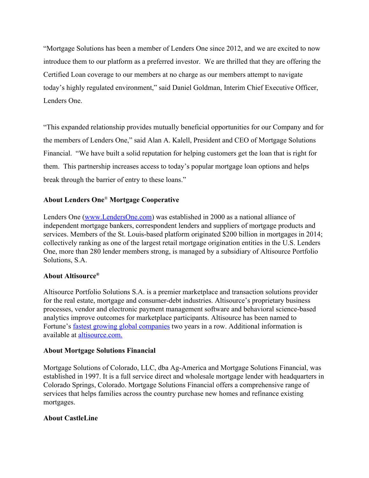"Mortgage Solutions has been a member of Lenders One since 2012, and we are excited to now introduce them to our platform as a preferred investor. We are thrilled that they are offering the Certified Loan coverage to our members at no charge as our members attempt to navigate today's highly regulated environment," said Daniel Goldman, Interim Chief Executive Officer, Lenders One.

"This expanded relationship provides mutually beneficial opportunities for our Company and for the members of Lenders One," said Alan A. Kalell, President and CEO of Mortgage Solutions Financial. "We have built a solid reputation for helping customers get the loan that is right for them. This partnership increases access to today's popular mortgage loan options and helps break through the barrier of entry to these loans."

## **About Lenders One**® **Mortgage Cooperative**

Lenders One [\(www.LendersOne.com\)](http://www.lendersone.com/) was established in 2000 as a national alliance of independent mortgage bankers, correspondent lenders and suppliers of mortgage products and services. Members of the St. Louis-based platform originated \$200 billion in mortgages in 2014; collectively ranking as one of the largest retail mortgage origination entities in the U.S. Lenders One, more than 280 lender members strong, is managed by a subsidiary of Altisource Portfolio Solutions, S.A.

## **About Altisource®**

Altisource Portfolio Solutions S.A. is a premier marketplace and transaction solutions provider for the real estate, mortgage and consumer-debt industries. Altisource's proprietary business processes, vendor and electronic payment management software and behavioral science-based analytics improve outcomes for marketplace participants. Altisource has been named to Fortune's fastest growing global [companies](http://fortune.com/100-fastest-growing-companies/altisource-portfolio-solutions-26/) two years in a row. Additional information is available at [altisource.com.](http://www.altisource.com/)

#### **About Mortgage Solutions Financial**

Mortgage Solutions of Colorado, LLC, dba Ag-America and Mortgage Solutions Financial, was established in 1997. It is a full service direct and wholesale mortgage lender with headquarters in Colorado Springs, Colorado. Mortgage Solutions Financial offers a comprehensive range of services that helps families across the country purchase new homes and refinance existing mortgages.

#### **About CastleLine**